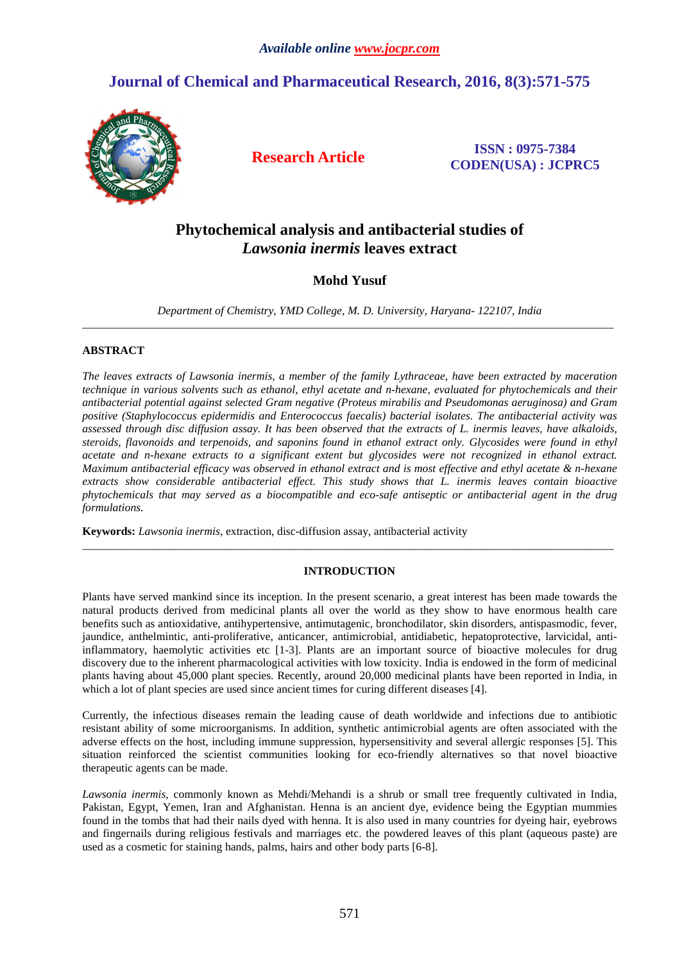# **Journal of Chemical and Pharmaceutical Research, 2016, 8(3):571-575**



**Research Article ISSN : 0975-7384 CODEN(USA) : JCPRC5**

# **Phytochemical analysis and antibacterial studies of**  *Lawsonia inermis* **leaves extract**

# **Mohd Yusuf**

*Department of Chemistry, YMD College, M. D. University, Haryana- 122107, India*  \_\_\_\_\_\_\_\_\_\_\_\_\_\_\_\_\_\_\_\_\_\_\_\_\_\_\_\_\_\_\_\_\_\_\_\_\_\_\_\_\_\_\_\_\_\_\_\_\_\_\_\_\_\_\_\_\_\_\_\_\_\_\_\_\_\_\_\_\_\_\_\_\_\_\_\_\_\_\_\_\_\_\_\_\_\_\_\_\_\_\_\_\_

## **ABSTRACT**

*The leaves extracts of Lawsonia inermis, a member of the family Lythraceae, have been extracted by maceration technique in various solvents such as ethanol, ethyl acetate and n-hexane, evaluated for phytochemicals and their antibacterial potential against selected Gram negative (Proteus mirabilis and Pseudomonas aeruginosa) and Gram positive (Staphylococcus epidermidis and Enterococcus faecalis) bacterial isolates. The antibacterial activity was assessed through disc diffusion assay. It has been observed that the extracts of L. inermis leaves, have alkaloids, steroids, flavonoids and terpenoids, and saponins found in ethanol extract only. Glycosides were found in ethyl acetate and n-hexane extracts to a significant extent but glycosides were not recognized in ethanol extract. Maximum antibacterial efficacy was observed in ethanol extract and is most effective and ethyl acetate & n-hexane extracts show considerable antibacterial effect. This study shows that L. inermis leaves contain bioactive phytochemicals that may served as a biocompatible and eco-safe antiseptic or antibacterial agent in the drug formulations.* 

**Keywords:** *Lawsonia inermis*, extraction, disc-diffusion assay, antibacterial activity

#### **INTRODUCTION**

\_\_\_\_\_\_\_\_\_\_\_\_\_\_\_\_\_\_\_\_\_\_\_\_\_\_\_\_\_\_\_\_\_\_\_\_\_\_\_\_\_\_\_\_\_\_\_\_\_\_\_\_\_\_\_\_\_\_\_\_\_\_\_\_\_\_\_\_\_\_\_\_\_\_\_\_\_\_\_\_\_\_\_\_\_\_\_\_\_\_\_\_\_

Plants have served mankind since its inception. In the present scenario, a great interest has been made towards the natural products derived from medicinal plants all over the world as they show to have enormous health care benefits such as antioxidative, antihypertensive, antimutagenic, bronchodilator, skin disorders, antispasmodic, fever, jaundice, anthelmintic, anti-proliferative, anticancer, antimicrobial, antidiabetic, hepatoprotective, larvicidal, antiinflammatory, haemolytic activities etc [1-3]. Plants are an important source of bioactive molecules for drug discovery due to the inherent pharmacological activities with low toxicity. India is endowed in the form of medicinal plants having about 45,000 plant species. Recently, around 20,000 medicinal plants have been reported in India, in which a lot of plant species are used since ancient times for curing different diseases [4].

Currently, the infectious diseases remain the leading cause of death worldwide and infections due to antibiotic resistant ability of some microorganisms. In addition, synthetic antimicrobial agents are often associated with the adverse effects on the host, including immune suppression, hypersensitivity and several allergic responses [5]. This situation reinforced the scientist communities looking for eco-friendly alternatives so that novel bioactive therapeutic agents can be made.

*Lawsonia inermis*, commonly known as Mehdi/Mehandi is a shrub or small tree frequently cultivated in India, Pakistan, Egypt, Yemen, Iran and Afghanistan. Henna is an ancient dye, evidence being the Egyptian mummies found in the tombs that had their nails dyed with henna. It is also used in many countries for dyeing hair, eyebrows and fingernails during religious festivals and marriages etc. the powdered leaves of this plant (aqueous paste) are used as a cosmetic for staining hands, palms, hairs and other body parts [6-8].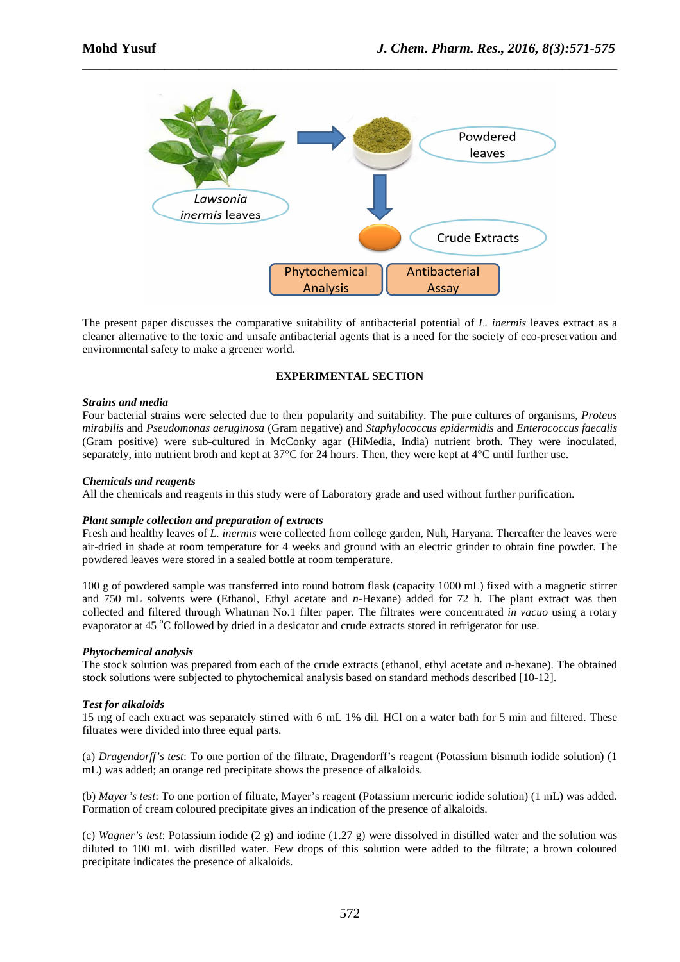

\_\_\_\_\_\_\_\_\_\_\_\_\_\_\_\_\_\_\_\_\_\_\_\_\_\_\_\_\_\_\_\_\_\_\_\_\_\_\_\_\_\_\_\_\_\_\_\_\_\_\_\_\_\_\_\_\_\_\_\_\_\_\_\_\_\_\_\_\_\_\_\_\_\_\_\_\_\_

The present paper discusses the comparative suitability of antibacterial potential of *L. inermis* leaves extract as a cleaner alternative to the toxic and unsafe antibacterial agents that is a need for the society of eco-preservation and environmental safety to make a greener world.

## **EXPERIMENTAL SECTION**

#### *Strains and media*

Four bacterial strains were selected due to their popularity and suitability. The pure cultures of organisms, *Proteus mirabilis* and *Pseudomonas aeruginosa* (Gram negative) and *Staphylococcus epidermidis* and *Enterococcus faecalis* (Gram positive) were sub-cultured in McConky agar (HiMedia, India) nutrient broth. They were inoculated, separately, into nutrient broth and kept at 37°C for 24 hours. Then, they were kept at 4°C until further use.

#### *Chemicals and reagents*

All the chemicals and reagents in this study were of Laboratory grade and used without further purification.

#### *Plant sample collection and preparation of extracts*

Fresh and healthy leaves of *L. inermis* were collected from college garden, Nuh, Haryana. Thereafter the leaves were air-dried in shade at room temperature for 4 weeks and ground with an electric grinder to obtain fine powder. The powdered leaves were stored in a sealed bottle at room temperature.

100 g of powdered sample was transferred into round bottom flask (capacity 1000 mL) fixed with a magnetic stirrer and 750 mL solvents were (Ethanol, Ethyl acetate and *n*-Hexane) added for 72 h. The plant extract was then collected and filtered through Whatman No.1 filter paper. The filtrates were concentrated *in vacuo* using a rotary evaporator at 45 °C followed by dried in a desicator and crude extracts stored in refrigerator for use.

#### *Phytochemical analysis*

The stock solution was prepared from each of the crude extracts (ethanol, ethyl acetate and *n*-hexane). The obtained stock solutions were subjected to phytochemical analysis based on standard methods described [10-12].

#### *Test for alkaloids*

15 mg of each extract was separately stirred with 6 mL 1% dil. HCl on a water bath for 5 min and filtered. These filtrates were divided into three equal parts.

(a) *Dragendorff's test*: To one portion of the filtrate, Dragendorff's reagent (Potassium bismuth iodide solution) (1 mL) was added; an orange red precipitate shows the presence of alkaloids.

(b) *Mayer's test*: To one portion of filtrate, Mayer's reagent (Potassium mercuric iodide solution) (1 mL) was added. Formation of cream coloured precipitate gives an indication of the presence of alkaloids.

(c) *Wagner's test*: Potassium iodide (2 g) and iodine (1.27 g) were dissolved in distilled water and the solution was diluted to 100 mL with distilled water. Few drops of this solution were added to the filtrate; a brown coloured precipitate indicates the presence of alkaloids.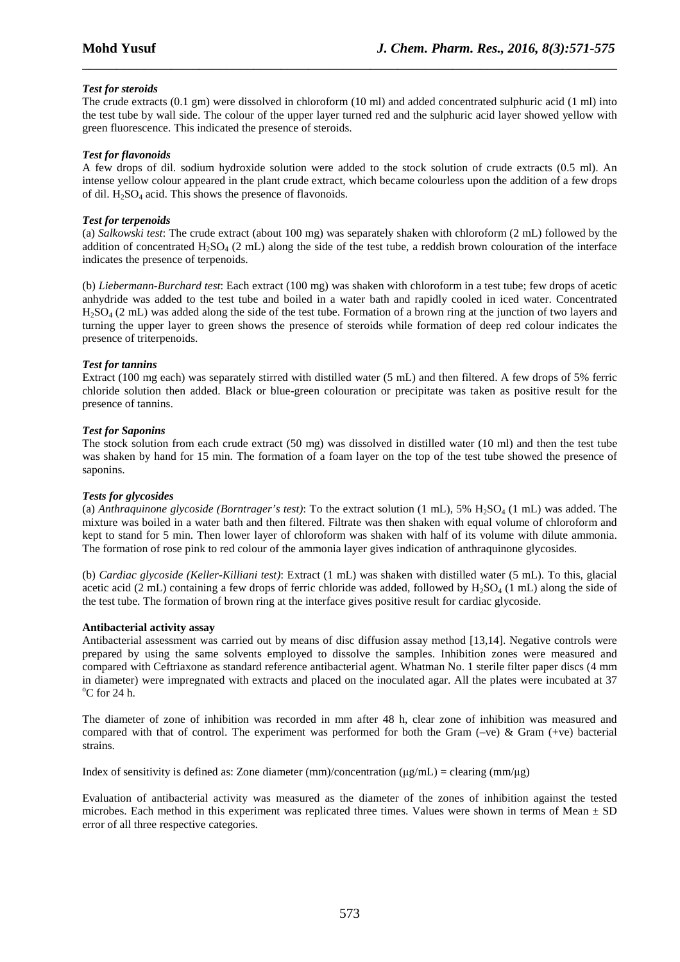# *Test for steroids*

The crude extracts (0.1 gm) were dissolved in chloroform (10 ml) and added concentrated sulphuric acid (1 ml) into the test tube by wall side. The colour of the upper layer turned red and the sulphuric acid layer showed yellow with green fluorescence. This indicated the presence of steroids.

\_\_\_\_\_\_\_\_\_\_\_\_\_\_\_\_\_\_\_\_\_\_\_\_\_\_\_\_\_\_\_\_\_\_\_\_\_\_\_\_\_\_\_\_\_\_\_\_\_\_\_\_\_\_\_\_\_\_\_\_\_\_\_\_\_\_\_\_\_\_\_\_\_\_\_\_\_\_

## *Test for flavonoids*

A few drops of dil. sodium hydroxide solution were added to the stock solution of crude extracts (0.5 ml). An intense yellow colour appeared in the plant crude extract, which became colourless upon the addition of a few drops of dil.  $H_2SO_4$  acid. This shows the presence of flavonoids.

#### *Test for terpenoids*

(a) *Salkowski test*: The crude extract (about 100 mg) was separately shaken with chloroform (2 mL) followed by the addition of concentrated H<sub>2</sub>SO<sub>4</sub> (2 mL) along the side of the test tube, a reddish brown colouration of the interface indicates the presence of terpenoids.

(b) *Liebermann-Burchard test*: Each extract (100 mg) was shaken with chloroform in a test tube; few drops of acetic anhydride was added to the test tube and boiled in a water bath and rapidly cooled in iced water. Concentrated H2SO4 (2 mL) was added along the side of the test tube. Formation of a brown ring at the junction of two layers and turning the upper layer to green shows the presence of steroids while formation of deep red colour indicates the presence of triterpenoids.

## *Test for tannins*

Extract (100 mg each) was separately stirred with distilled water (5 mL) and then filtered. A few drops of 5% ferric chloride solution then added. Black or blue-green colouration or precipitate was taken as positive result for the presence of tannins.

## *Test for Saponins*

The stock solution from each crude extract (50 mg) was dissolved in distilled water (10 ml) and then the test tube was shaken by hand for 15 min. The formation of a foam layer on the top of the test tube showed the presence of saponins.

#### *Tests for glycosides*

(a) *Anthraquinone glycoside (Borntrager's test)*: To the extract solution  $(1 \text{ mL})$ , 5%  $H_2SO_4$  (1 mL) was added. The mixture was boiled in a water bath and then filtered. Filtrate was then shaken with equal volume of chloroform and kept to stand for 5 min. Then lower layer of chloroform was shaken with half of its volume with dilute ammonia. The formation of rose pink to red colour of the ammonia layer gives indication of anthraquinone glycosides.

(b) *Cardiac glycoside (Keller-Killiani test)*: Extract (1 mL) was shaken with distilled water (5 mL). To this, glacial acetic acid (2 mL) containing a few drops of ferric chloride was added, followed by  $H_2SO_4$  (1 mL) along the side of the test tube. The formation of brown ring at the interface gives positive result for cardiac glycoside.

#### **Antibacterial activity assay**

Antibacterial assessment was carried out by means of disc diffusion assay method [13,14]. Negative controls were prepared by using the same solvents employed to dissolve the samples. Inhibition zones were measured and compared with Ceftriaxone as standard reference antibacterial agent. Whatman No. 1 sterile filter paper discs (4 mm in diameter) were impregnated with extracts and placed on the inoculated agar. All the plates were incubated at 37  $^{\circ}$ C for 24 h.

The diameter of zone of inhibition was recorded in mm after 48 h, clear zone of inhibition was measured and compared with that of control. The experiment was performed for both the Gram (–ve) & Gram (+ve) bacterial strains.

Index of sensitivity is defined as: Zone diameter (mm)/concentration ( $\mu g/mL$ ) = clearing (mm/ $\mu g$ )

Evaluation of antibacterial activity was measured as the diameter of the zones of inhibition against the tested microbes. Each method in this experiment was replicated three times. Values were shown in terms of Mean  $\pm$  SD error of all three respective categories.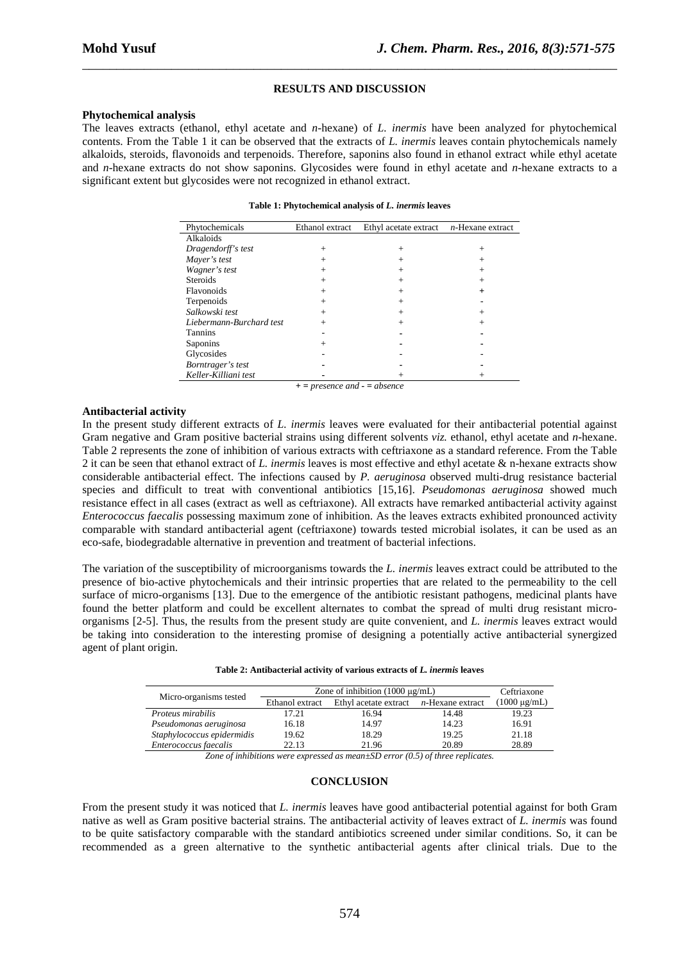#### **RESULTS AND DISCUSSION**

\_\_\_\_\_\_\_\_\_\_\_\_\_\_\_\_\_\_\_\_\_\_\_\_\_\_\_\_\_\_\_\_\_\_\_\_\_\_\_\_\_\_\_\_\_\_\_\_\_\_\_\_\_\_\_\_\_\_\_\_\_\_\_\_\_\_\_\_\_\_\_\_\_\_\_\_\_\_

#### **Phytochemical analysis**

The leaves extracts (ethanol, ethyl acetate and *n*-hexane) of *L. inermis* have been analyzed for phytochemical contents. From the Table 1 it can be observed that the extracts of *L. inermis* leaves contain phytochemicals namely alkaloids, steroids, flavonoids and terpenoids. Therefore, saponins also found in ethanol extract while ethyl acetate and *n*-hexane extracts do not show saponins. Glycosides were found in ethyl acetate and *n*-hexane extracts to a significant extent but glycosides were not recognized in ethanol extract.

**Table 1: Phytochemical analysis of** *L. inermis* **leaves** 

| Phytochemicals           | Ethanol extract | Ethyl acetate extract $n$ -Hexane extract |                |
|--------------------------|-----------------|-------------------------------------------|----------------|
| Alkaloids                |                 |                                           |                |
| Dragendorff's test       | $^{+}$          | $^{+}$                                    | $^{+}$         |
| Mayer's test             | $^{+}$          | $^{+}$                                    | $^{+}$         |
| Wagner's test            | $^{+}$          | $+$                                       | $^{+}$         |
| <b>Steroids</b>          |                 | $^{+}$                                    | $\overline{+}$ |
| Flavonoids               | $^{+}$          | $+$                                       | $^{+}$         |
| Terpenoids               | $^{+}$          | $+$                                       |                |
| Salkowski test           | $^{+}$          | $^{+}$                                    | $^{+}$         |
| Liebermann-Burchard test | $^{+}$          | $+$                                       | $^{+}$         |
| <b>Tannins</b>           |                 |                                           |                |
| Saponins                 | $^{+}$          |                                           |                |
| Glycosides               |                 |                                           |                |
| Borntrager's test        |                 |                                           |                |
| Keller-Killiani test     |                 | $\overline{+}$                            | $\, +$         |

*+ = presence and - = absence*

#### **Antibacterial activity**

In the present study different extracts of *L. inermis* leaves were evaluated for their antibacterial potential against Gram negative and Gram positive bacterial strains using different solvents *viz.* ethanol, ethyl acetate and *n*-hexane. Table 2 represents the zone of inhibition of various extracts with ceftriaxone as a standard reference. From the Table 2 it can be seen that ethanol extract of *L. inermis* leaves is most effective and ethyl acetate & n-hexane extracts show considerable antibacterial effect. The infections caused by *P. aeruginosa* observed multi-drug resistance bacterial species and difficult to treat with conventional antibiotics [15,16]. *Pseudomonas aeruginosa* showed much resistance effect in all cases (extract as well as ceftriaxone). All extracts have remarked antibacterial activity against *Enterococcus faecalis* possessing maximum zone of inhibition. As the leaves extracts exhibited pronounced activity comparable with standard antibacterial agent (ceftriaxone) towards tested microbial isolates, it can be used as an eco-safe, biodegradable alternative in prevention and treatment of bacterial infections.

The variation of the susceptibility of microorganisms towards the *L. inermis* leaves extract could be attributed to the presence of bio-active phytochemicals and their intrinsic properties that are related to the permeability to the cell surface of micro-organisms [13]. Due to the emergence of the antibiotic resistant pathogens, medicinal plants have found the better platform and could be excellent alternates to combat the spread of multi drug resistant microorganisms [2-5]. Thus, the results from the present study are quite convenient, and *L. inermis* leaves extract would be taking into consideration to the interesting promise of designing a potentially active antibacterial synergized agent of plant origin.

| Micro-organisms tested     | Zone of inhibition $(1000 \mu g/mL)$ |                       |                          | Ceftriaxone       |
|----------------------------|--------------------------------------|-----------------------|--------------------------|-------------------|
|                            | Ethanol extract                      | Ethyl acetate extract | <i>n</i> -Hexane extract | $(1000 \mu g/mL)$ |
| Proteus mirabilis          | 17.21                                | 16.94                 | 14.48                    | 19.23             |
| Pseudomonas aeruginosa     | 16.18                                | 14.97                 | 14.23                    | 16.91             |
| Staphylococcus epidermidis | 19.62                                | 18.29                 | 19.25                    | 21.18             |
| Enterococcus faecalis      | 22.13                                | 21.96                 | 20.89                    | 28.89             |

*Zone of inhibitions were expressed as mean±SD error (0.5) of three replicates.* 

#### **CONCLUSION**

From the present study it was noticed that *L. inermis* leaves have good antibacterial potential against for both Gram native as well as Gram positive bacterial strains. The antibacterial activity of leaves extract of *L. inermis* was found to be quite satisfactory comparable with the standard antibiotics screened under similar conditions. So, it can be recommended as a green alternative to the synthetic antibacterial agents after clinical trials. Due to the